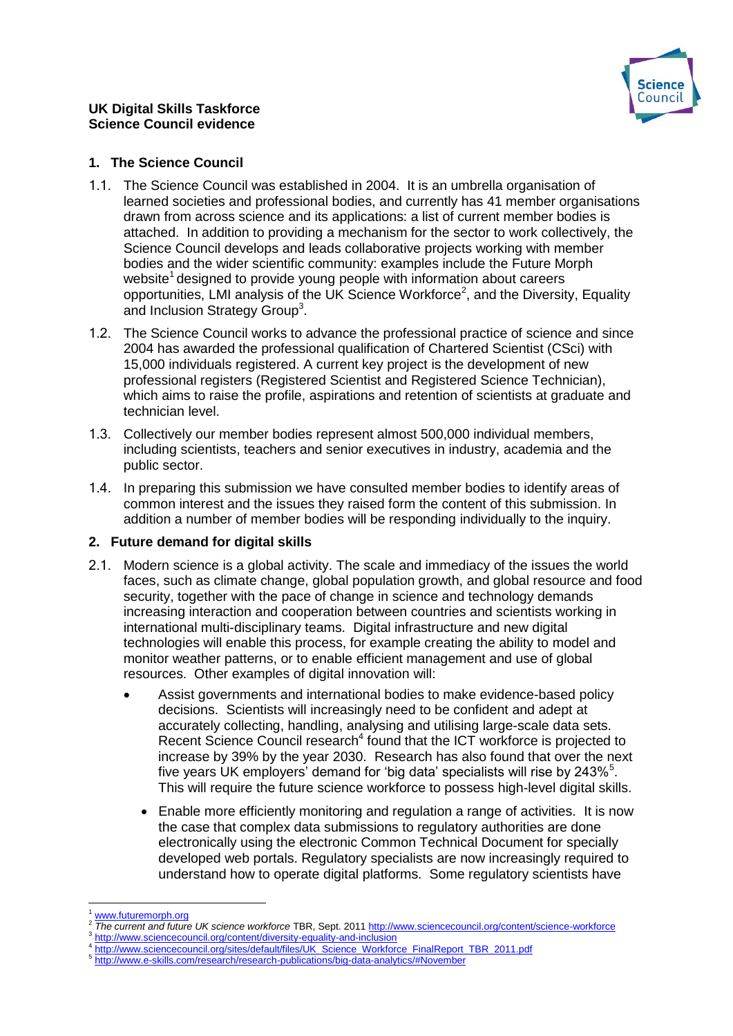

## **1. The Science Council**

- 1.1. The Science Council was established in 2004. It is an umbrella organisation of learned societies and professional bodies, and currently has 41 member organisations drawn from across science and its applications: a list of current member bodies is attached. In addition to providing a mechanism for the sector to work collectively, the Science Council develops and leads collaborative projects working with member bodies and the wider scientific community: examples include the Future Morph website<sup>1</sup> designed to provide young people with information about careers opportunities, LMI analysis of the UK Science Workforce<sup>2</sup>, and the Diversity, Equality and Inclusion Strategy Group<sup>3</sup>.
- 1.2. The Science Council works to advance the professional practice of science and since 2004 has awarded the professional qualification of Chartered Scientist (CSci) with 15,000 individuals registered. A current key project is the development of new professional registers (Registered Scientist and Registered Science Technician), which aims to raise the profile, aspirations and retention of scientists at graduate and technician level.
- 1.3. Collectively our member bodies represent almost 500,000 individual members, including scientists, teachers and senior executives in industry, academia and the public sector.
- 1.4. In preparing this submission we have consulted member bodies to identify areas of common interest and the issues they raised form the content of this submission. In addition a number of member bodies will be responding individually to the inquiry.

# **2. Future demand for digital skills**

- 2.1. Modern science is a global activity. The scale and immediacy of the issues the world faces, such as climate change, global population growth, and global resource and food security, together with the pace of change in science and technology demands increasing interaction and cooperation between countries and scientists working in international multi-disciplinary teams. Digital infrastructure and new digital technologies will enable this process, for example creating the ability to model and monitor weather patterns, or to enable efficient management and use of global resources. Other examples of digital innovation will:
	- Assist governments and international bodies to make evidence-based policy decisions. Scientists will increasingly need to be confident and adept at accurately collecting, handling, analysing and utilising large-scale data sets. Recent Science Council research<sup>4</sup> found that the ICT workforce is projected to increase by 39% by the year 2030. Research has also found that over the next five years UK employers' demand for 'big data' specialists will rise by 243% $<sup>5</sup>$ .</sup> This will require the future science workforce to possess high-level digital skills.
		- Enable more efficiently monitoring and regulation a range of activities. It is now the case that complex data submissions to regulatory authorities are done electronically using the electronic Common Technical Document for specially developed web portals. Regulatory specialists are now increasingly required to understand how to operate digital platforms. Some regulatory scientists have

 $\overline{a}$ [www.futuremorph.org](http://www.futuremorph.org/)

<sup>2</sup> *The current and future UK science workforce* TBR, Sept. 201[1 http://www.sciencecouncil.org/content/science-workforce](http://www.sciencecouncil.org/content/science-workforce) 3 <http://www.sciencecouncil.org/content/diversity-equality-and-inclusion>

<sup>4</sup> [http://www.sciencecouncil.org/sites/default/files/UK\\_Science\\_Workforce\\_FinalReport\\_TBR\\_2011.pdf](http://www.sciencecouncil.org/sites/default/files/UK_Science_Workforce_FinalReport_TBR_2011.pdf)

<sup>5</sup> <http://www.e-skills.com/research/research-publications/big-data-analytics/#November>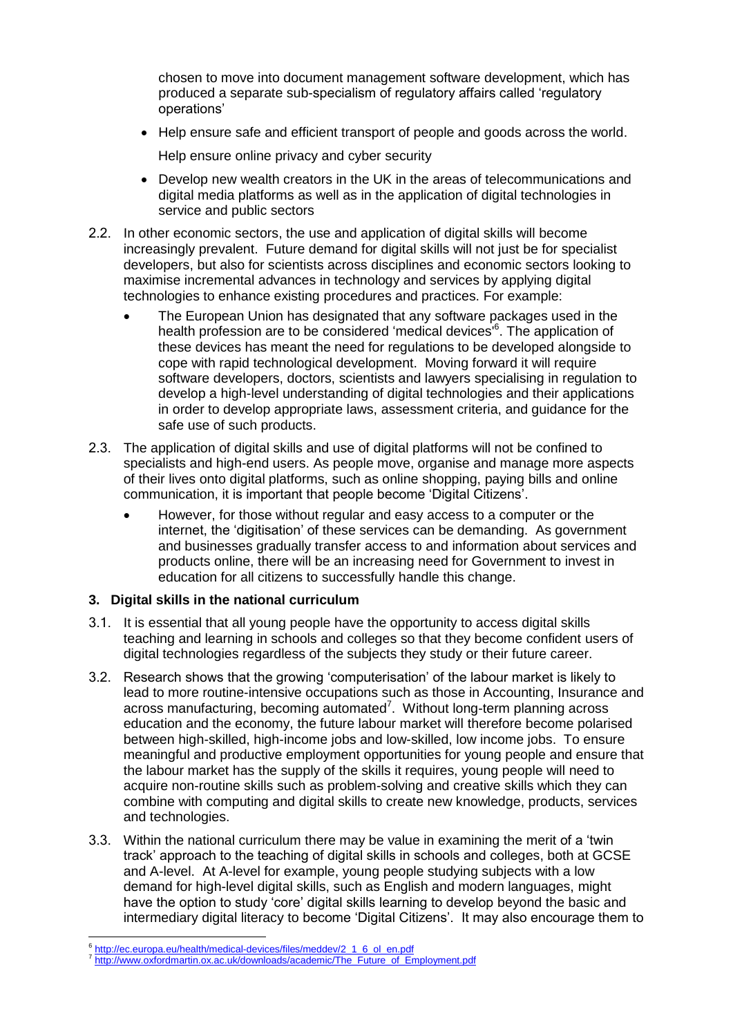chosen to move into document management software development, which has produced a separate sub-specialism of regulatory affairs called 'regulatory operations'

• Help ensure safe and efficient transport of people and goods across the world.

Help ensure online privacy and cyber security

- Develop new wealth creators in the UK in the areas of telecommunications and digital media platforms as well as in the application of digital technologies in service and public sectors
- 2.2. In other economic sectors, the use and application of digital skills will become increasingly prevalent. Future demand for digital skills will not just be for specialist developers, but also for scientists across disciplines and economic sectors looking to maximise incremental advances in technology and services by applying digital technologies to enhance existing procedures and practices. For example:
	- The European Union has designated that any software packages used in the health profession are to be considered 'medical devices' 6 . The application of these devices has meant the need for regulations to be developed alongside to cope with rapid technological development. Moving forward it will require software developers, doctors, scientists and lawyers specialising in regulation to develop a high-level understanding of digital technologies and their applications in order to develop appropriate laws, assessment criteria, and guidance for the safe use of such products.
- 2.3. The application of digital skills and use of digital platforms will not be confined to specialists and high-end users. As people move, organise and manage more aspects of their lives onto digital platforms, such as online shopping, paying bills and online communication, it is important that people become 'Digital Citizens'.
	- However, for those without regular and easy access to a computer or the internet, the 'digitisation' of these services can be demanding. As government and businesses gradually transfer access to and information about services and products online, there will be an increasing need for Government to invest in education for all citizens to successfully handle this change.

### **3. Digital skills in the national curriculum**

- 3.1. It is essential that all young people have the opportunity to access digital skills teaching and learning in schools and colleges so that they become confident users of digital technologies regardless of the subjects they study or their future career.
- 3.2. Research shows that the growing 'computerisation' of the labour market is likely to lead to more routine-intensive occupations such as those in Accounting, Insurance and across manufacturing, becoming automated<sup>7</sup>. Without long-term planning across education and the economy, the future labour market will therefore become polarised between high-skilled, high-income jobs and low-skilled, low income jobs. To ensure meaningful and productive employment opportunities for young people and ensure that the labour market has the supply of the skills it requires, young people will need to acquire non-routine skills such as problem-solving and creative skills which they can combine with computing and digital skills to create new knowledge, products, services and technologies.
- 3.3. Within the national curriculum there may be value in examining the merit of a 'twin track' approach to the teaching of digital skills in schools and colleges, both at GCSE and A-level. At A-level for example, young people studying subjects with a low demand for high-level digital skills, such as English and modern languages, might have the option to study 'core' digital skills learning to develop beyond the basic and intermediary digital literacy to become 'Digital Citizens'. It may also encourage them to

**<sup>.</sup>** 6 [http://ec.europa.eu/health/medical-devices/files/meddev/2\\_1\\_6\\_ol\\_en.pdf](http://ec.europa.eu/health/medical-devices/files/meddev/2_1_6_ol_en.pdf)

<sup>&</sup>lt;sup>7</sup> [http://www.oxfordmartin.ox.ac.uk/downloads/academic/The\\_Future\\_of\\_Employment.pdf](http://www.oxfordmartin.ox.ac.uk/downloads/academic/The_Future_of_Employment.pdf)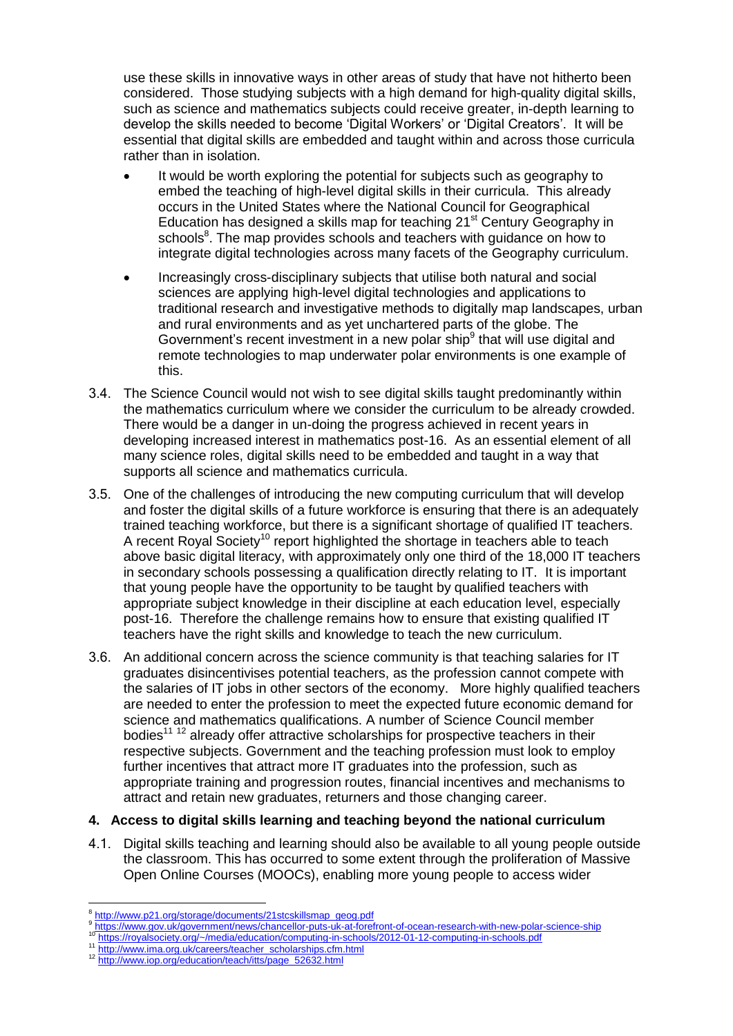use these skills in innovative ways in other areas of study that have not hitherto been considered. Those studying subjects with a high demand for high-quality digital skills, such as science and mathematics subjects could receive greater, in-depth learning to develop the skills needed to become 'Digital Workers' or 'Digital Creators'. It will be essential that digital skills are embedded and taught within and across those curricula rather than in isolation.

- It would be worth exploring the potential for subjects such as geography to embed the teaching of high-level digital skills in their curricula. This already occurs in the United States where the National Council for Geographical Education has designed a skills map for teaching 21<sup>st</sup> Century Geography in schools<sup>8</sup>. The map provides schools and teachers with guidance on how to integrate digital technologies across many facets of the Geography curriculum.
- Increasingly cross-disciplinary subjects that utilise both natural and social sciences are applying high-level digital technologies and applications to traditional research and investigative methods to digitally map landscapes, urban and rural environments and as yet unchartered parts of the globe. The Government's recent investment in a new polar ship<sup>9</sup> that will use digital and remote technologies to map underwater polar environments is one example of this.
- 3.4. The Science Council would not wish to see digital skills taught predominantly within the mathematics curriculum where we consider the curriculum to be already crowded. There would be a danger in un-doing the progress achieved in recent years in developing increased interest in mathematics post-16. As an essential element of all many science roles, digital skills need to be embedded and taught in a way that supports all science and mathematics curricula.
- 3.5. One of the challenges of introducing the new computing curriculum that will develop and foster the digital skills of a future workforce is ensuring that there is an adequately trained teaching workforce, but there is a significant shortage of qualified IT teachers. A recent Royal Society<sup>10</sup> report highlighted the shortage in teachers able to teach above basic digital literacy, with approximately only one third of the 18,000 IT teachers in secondary schools possessing a qualification directly relating to IT. It is important that young people have the opportunity to be taught by qualified teachers with appropriate subject knowledge in their discipline at each education level, especially post-16. Therefore the challenge remains how to ensure that existing qualified IT teachers have the right skills and knowledge to teach the new curriculum.
- 3.6. An additional concern across the science community is that teaching salaries for IT graduates disincentivises potential teachers, as the profession cannot compete with the salaries of IT jobs in other sectors of the economy. More highly qualified teachers are needed to enter the profession to meet the expected future economic demand for science and mathematics qualifications. A number of Science Council member bodies<sup>11 12</sup> already offer attractive scholarships for prospective teachers in their respective subjects. Government and the teaching profession must look to employ further incentives that attract more IT graduates into the profession, such as appropriate training and progression routes, financial incentives and mechanisms to attract and retain new graduates, returners and those changing career.

## **4. Access to digital skills learning and teaching beyond the national curriculum**

4.1. Digital skills teaching and learning should also be available to all young people outside the classroom. This has occurred to some extent through the proliferation of Massive Open Online Courses (MOOCs), enabling more young people to access wider

- 9 <https://www.gov.uk/government/news/chancellor-puts-uk-at-forefront-of-ocean-research-with-new-polar-science-ship><br>https://www.gov.uk/government/news/chancellor-puts-uk-at-forefront-of-ocean-research-with-new-polar-science-s
- 10 <https://royalsociety.org/~/media/education/computing-in-schools/2012-01-12-computing-in-schools.pdf><br>11 https://royalsociety.org/~/media/education/computing-in-schools/2012-01-12-computing-in-schools.pdf
- [http://www.ima.org.uk/careers/teacher\\_scholarships.cfm.html](http://www.ima.org.uk/careers/teacher_scholarships.cfm.html)
- <sup>12</sup> [http://www.iop.org/education/teach/itts/page\\_52632.html](http://www.iop.org/education/teach/itts/page_52632.html)

 $\overline{a}$ 8 [http://www.p21.org/storage/documents/21stcskillsmap\\_geog.pdf](http://www.p21.org/storage/documents/21stcskillsmap_geog.pdf)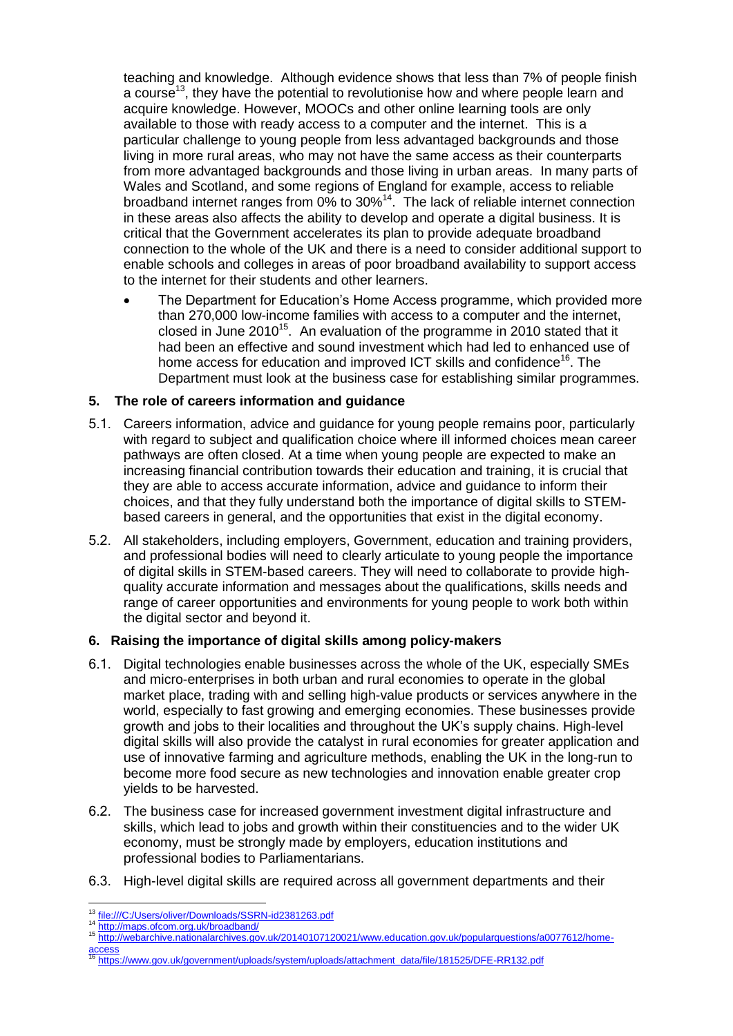teaching and knowledge. Although evidence shows that less than 7% of people finish a course<sup>13</sup>, they have the potential to revolutionise how and where people learn and acquire knowledge. However, MOOCs and other online learning tools are only available to those with ready access to a computer and the internet. This is a particular challenge to young people from less advantaged backgrounds and those living in more rural areas, who may not have the same access as their counterparts from more advantaged backgrounds and those living in urban areas. In many parts of Wales and Scotland, and some regions of England for example, access to reliable broadband internet ranges from 0% to 30%<sup>14</sup>. The lack of reliable internet connection in these areas also affects the ability to develop and operate a digital business. It is critical that the Government accelerates its plan to provide adequate broadband connection to the whole of the UK and there is a need to consider additional support to enable schools and colleges in areas of poor broadband availability to support access to the internet for their students and other learners.

 The Department for Education's Home Access programme, which provided more than 270,000 low-income families with access to a computer and the internet, closed in June 2010<sup>15</sup>. An evaluation of the programme in 2010 stated that it had been an effective and sound investment which had led to enhanced use of home access for education and improved ICT skills and confidence<sup>16</sup>. The Department must look at the business case for establishing similar programmes.

## **5. The role of careers information and guidance**

- 5.1. Careers information, advice and guidance for young people remains poor, particularly with regard to subject and qualification choice where ill informed choices mean career pathways are often closed. At a time when young people are expected to make an increasing financial contribution towards their education and training, it is crucial that they are able to access accurate information, advice and guidance to inform their choices, and that they fully understand both the importance of digital skills to STEMbased careers in general, and the opportunities that exist in the digital economy.
- 5.2. All stakeholders, including employers, Government, education and training providers, and professional bodies will need to clearly articulate to young people the importance of digital skills in STEM-based careers. They will need to collaborate to provide highquality accurate information and messages about the qualifications, skills needs and range of career opportunities and environments for young people to work both within the digital sector and beyond it.

### **6. Raising the importance of digital skills among policy-makers**

- 6.1. Digital technologies enable businesses across the whole of the UK, especially SMEs and micro-enterprises in both urban and rural economies to operate in the global market place, trading with and selling high-value products or services anywhere in the world, especially to fast growing and emerging economies. These businesses provide growth and jobs to their localities and throughout the UK's supply chains. High-level digital skills will also provide the catalyst in rural economies for greater application and use of innovative farming and agriculture methods, enabling the UK in the long-run to become more food secure as new technologies and innovation enable greater crop yields to be harvested.
- 6.2. The business case for increased government investment digital infrastructure and skills, which lead to jobs and growth within their constituencies and to the wider UK economy, must be strongly made by employers, education institutions and professional bodies to Parliamentarians.
- 6.3. High-level digital skills are required across all government departments and their

- <sup>15</sup> [http://webarchive.nationalarchives.gov.uk/20140107120021/www.education.gov.uk/popularquestions/a0077612/home](http://webarchive.nationalarchives.gov.uk/20140107120021/www.education.gov.uk/popularquestions/a0077612/home-access)**ccess**
- [https://www.gov.uk/government/uploads/system/uploads/attachment\\_data/file/181525/DFE-RR132.pdf](https://www.gov.uk/government/uploads/system/uploads/attachment_data/file/181525/DFE-RR132.pdf)

 $\overline{a}$ <sup>13</sup> <file:///C:/Users/oliver/Downloads/SSRN-id2381263.pdf>

<sup>14</sup> http://maps.ofcom.org.<u>uk/broadband/</u>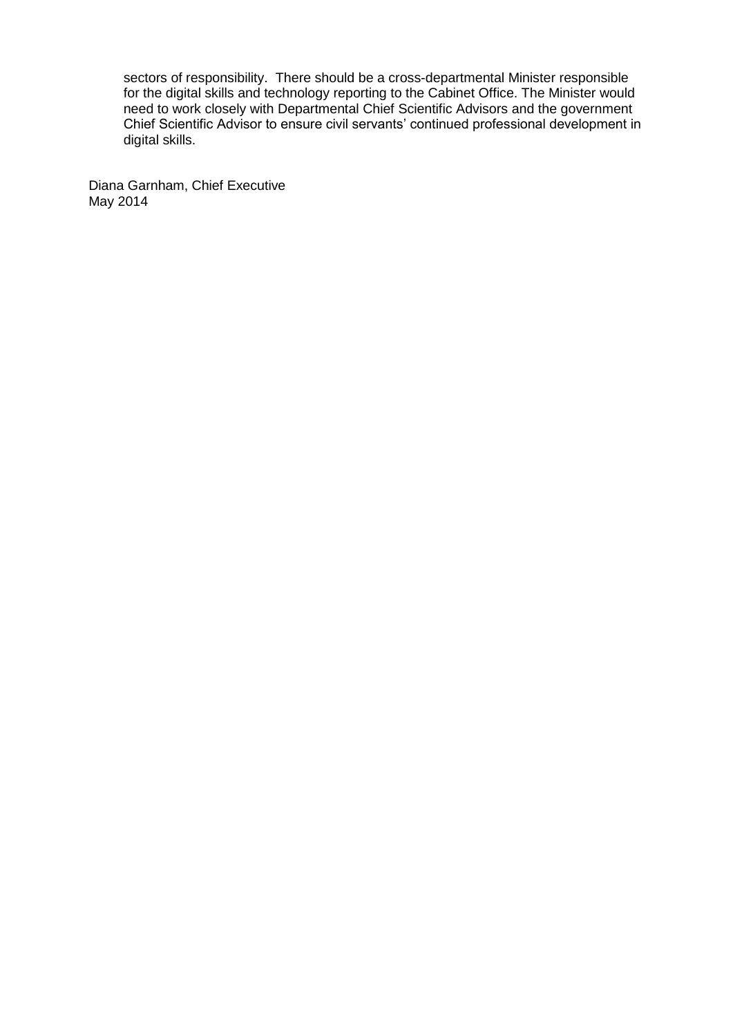sectors of responsibility. There should be a cross-departmental Minister responsible for the digital skills and technology reporting to the Cabinet Office. The Minister would need to work closely with Departmental Chief Scientific Advisors and the government Chief Scientific Advisor to ensure civil servants' continued professional development in digital skills.

Diana Garnham, Chief Executive May 2014